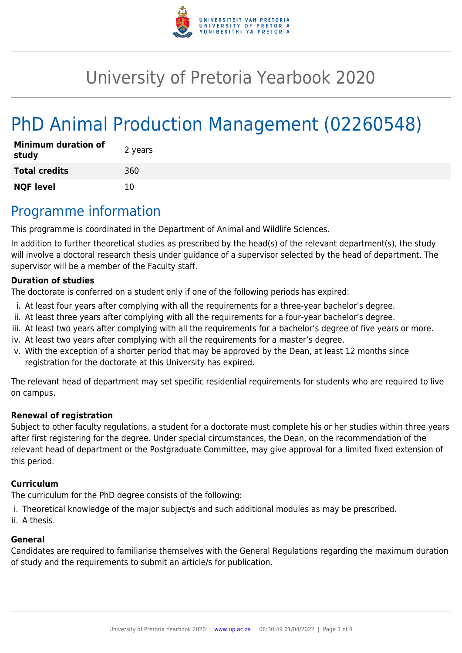

# University of Pretoria Yearbook 2020

# PhD Animal Production Management (02260548)

| <b>Minimum duration of</b><br>study | 2 years |
|-------------------------------------|---------|
| <b>Total credits</b>                | 360     |
| <b>NQF level</b>                    | 10      |

### Programme information

This programme is coordinated in the Department of Animal and Wildlife Sciences.

In addition to further theoretical studies as prescribed by the head(s) of the relevant department(s), the study will involve a doctoral research thesis under guidance of a supervisor selected by the head of department. The supervisor will be a member of the Faculty staff.

#### **Duration of studies**

The doctorate is conferred on a student only if one of the following periods has expired:

- i. At least four years after complying with all the requirements for a three-year bachelor's degree.
- ii. At least three years after complying with all the requirements for a four-year bachelor's degree.
- iii. At least two years after complying with all the requirements for a bachelor's degree of five years or more.
- iv. At least two years after complying with all the requirements for a master's degree.
- v. With the exception of a shorter period that may be approved by the Dean, at least 12 months since registration for the doctorate at this University has expired.

The relevant head of department may set specific residential requirements for students who are required to live on campus.

#### **Renewal of registration**

Subject to other faculty regulations, a student for a doctorate must complete his or her studies within three years after first registering for the degree. Under special circumstances, the Dean, on the recommendation of the relevant head of department or the Postgraduate Committee, may give approval for a limited fixed extension of this period.

#### **Curriculum**

The curriculum for the PhD degree consists of the following:

- i. Theoretical knowledge of the major subject/s and such additional modules as may be prescribed.
- ii. A thesis.

#### **General**

Candidates are required to familiarise themselves with the General Regulations regarding the maximum duration of study and the requirements to submit an article/s for publication.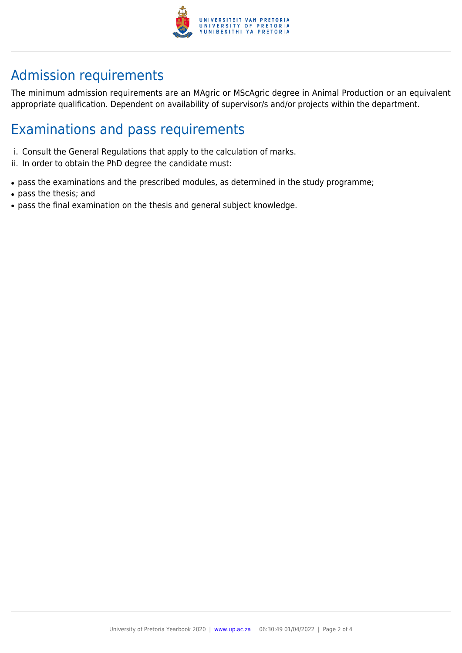

## Admission requirements

The minimum admission requirements are an MAgric or MScAgric degree in Animal Production or an equivalent appropriate qualification. Dependent on availability of supervisor/s and/or projects within the department.

## Examinations and pass requirements

- i. Consult the General Regulations that apply to the calculation of marks.
- ii. In order to obtain the PhD degree the candidate must:
- pass the examinations and the prescribed modules, as determined in the study programme;
- pass the thesis; and
- pass the final examination on the thesis and general subject knowledge.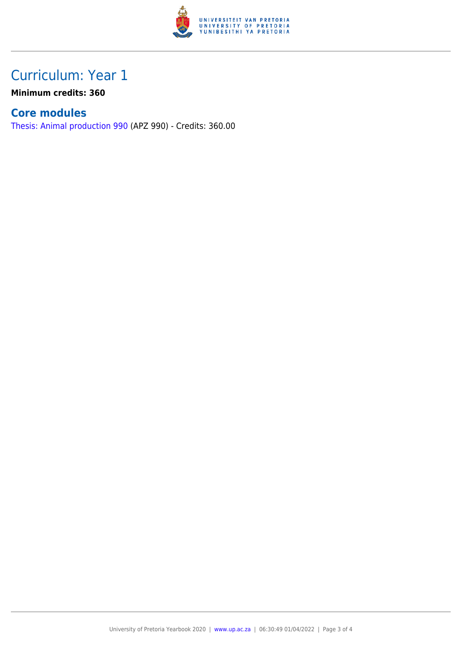

## Curriculum: Year 1

**Minimum credits: 360**

### **Core modules**

[Thesis: Animal production 990](https://www.up.ac.za/yearbooks/2020/modules/view/APZ 990) (APZ 990) - Credits: 360.00